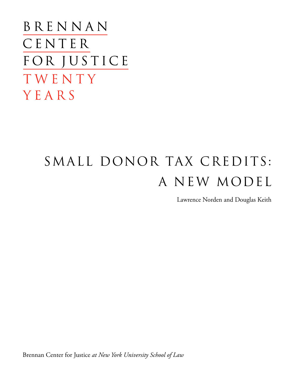BRENNAN CENTER FOR JUSTICE TWENTY YEARS

# SMALL DONOR TAX CREDITS: A NEW MODEL

Lawrence Norden and Douglas Keith

Brennan Center for Justice *at New York University School of Law*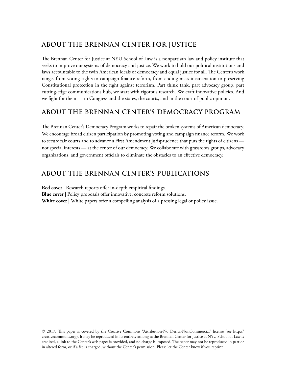# **ABOUT THE BRENNAN CENTER FOR JUSTICE**

The Brennan Center for Justice at NYU School of Law is a nonpartisan law and policy institute that seeks to improve our systems of democracy and justice. We work to hold our political institutions and laws accountable to the twin American ideals of democracy and equal justice for all. The Center's work ranges from voting rights to campaign finance reform, from ending mass incarceration to preserving Constitutional protection in the fight against terrorism. Part think tank, part advocacy group, part cutting-edge communications hub, we start with rigorous research. We craft innovative policies. And we fight for them — in Congress and the states, the courts, and in the court of public opinion.

## **ABOUT THE BRENNAN CENTER'S DEMOCRACY PROGRAM**

The Brennan Center's Democracy Program works to repair the broken systems of American democracy. We encourage broad citizen participation by promoting voting and campaign finance reform. We work to secure fair courts and to advance a First Amendment jurisprudence that puts the rights of citizens not special interests — at the center of our democracy. We collaborate with grassroots groups, advocacy organizations, and government officials to eliminate the obstacles to an effective democracy.

# **ABOUT THE BRENNAN CENTER'S PUBLICATIONS**

**Red cover |** Research reports offer in-depth empirical findings. **Blue cover** | Policy proposals offer innovative, concrete reform solutions. **White cover |** White papers offer a compelling analysis of a pressing legal or policy issue.

© 2017. This paper is covered by the Creative Commons "Attribution-No Derivs-NonCommercial" license (see [http://](http://creativecommons.org) [creativecommons.org](http://creativecommons.org)). It may be reproduced in its entirety as long as the Brennan Center for Justice at NYU School of Law is credited, a link to the Center's web pages is provided, and no charge is imposed. The paper may not be reproduced in part or in altered form, or if a fee is charged, without the Center's permission. Please let the Center know if you reprint.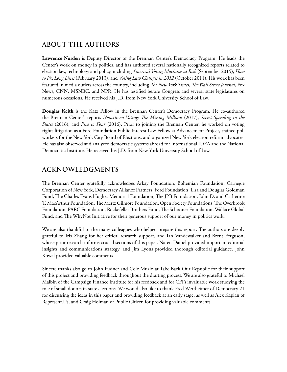# **ABOUT THE AUTHORS**

**Lawrence Norden** is Deputy Director of the Brennan Center's Democracy Program. He leads the Center's work on money in politics, and has authored several nationally recognized reports related to election law, technology and policy, including *America's Voting Machines at Risk* (September 2015), *How to Fix Long Lines* (February 2013), and *Voting Law Changes in 2012* (October 2011). His work has been featured in media outlets across the country, including *The New York Times*, *The Wall Street Journal*, Fox News, CNN, MSNBC, and NPR. He has testified before Congress and several state legislatures on numerous occasions. He received his J.D. from New York University School of Law.

**Douglas Keith** is the Katz Fellow in the Brennan Center's Democracy Program. He co-authored the Brennan Center's reports *Noncitizen Voting: The Missing Millions* (2017), *Secret Spending in the States* (2016), and *Five to Four* (2016). Prior to joining the Brennan Center, he worked on voting rights litigation as a Ford Foundation Public Interest Law Fellow at Advancement Project, trained poll workers for the New York City Board of Elections, and organized New York election reform advocates. He has also observed and analyzed democratic systems abroad for International IDEA and the National Democratic Institute. He received his J.D. from New York University School of Law.

# **ACKNOWLEDGMENTS**

The Brennan Center gratefully acknowledges Arkay Foundation, Bohemian Foundation, Carnegie Corporation of New York, Democracy Alliance Partners, Ford Foundation, Lisa and Douglas Goldman Fund, The Charles Evans Hughes Memorial Foundation, The JPB Foundation, John D. and Catherine T. MacArthur Foundation, The Mertz Gilmore Foundation, Open Society Foundations, The Overbrook Foundation, PARC Foundation, Rockefeller Brothers Fund, The Schooner Foundation, Wallace Global Fund, and The WhyNot Initiative for their generous support of our money in politics work.

We are also thankful to the many colleagues who helped prepare this report. The authors are deeply grateful to Iris Zhang for her critical research support, and Ian Vandewalker and Brent Ferguson, whose prior research informs crucial sections of this paper. Naren Daniel provided important editorial insights and communications strategy, and Jim Lyons provided thorough editorial guidance. John Kowal provided valuable comments.

Sincere thanks also go to John Pudner and Cole Muzio at Take Back Our Republic for their support of this project and providing feedback throughout the drafting process. We are also grateful to Michael Malbin of the Campaign Finance Institute for his feedback and for CFI's invaluable work studying the role of small donors in state elections. We would also like to thank Fred Wertheimer of Democracy 21 for discussing the ideas in this paper and providing feedback at an early stage, as well as Alex Kaplan of Represent.Us, and Craig Holman of Public Citizen for providing valuable comments.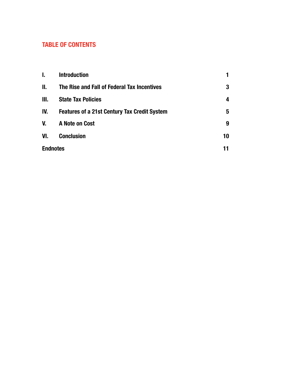# TABLE OF CONTENTS

| I.              | <b>Introduction</b>                                 |    |
|-----------------|-----------------------------------------------------|----|
| II.             | The Rise and Fall of Federal Tax Incentives         | 3  |
| Ш.              | <b>State Tax Policies</b>                           | 4  |
| IV.             | <b>Features of a 21st Century Tax Credit System</b> | 5  |
| V.              | A Note on Cost                                      | 9  |
| VI.             | <b>Conclusion</b>                                   | 10 |
| <b>Endnotes</b> | 11                                                  |    |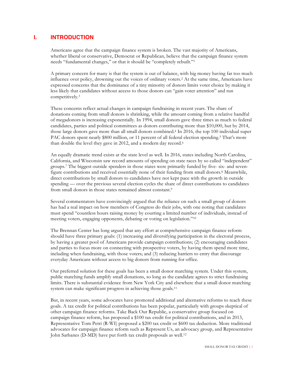#### **I. INTRODUCTION**

Americans agree that the campaign finance system is broken. The vast majority of Americans, whether liberal or conservative, Democrat or Republican, believe that the campaign finance system needs "fundamental changes," or that it should be "completely rebuilt."1

A primary concern for many is that the system is out of balance, with big money having far too much influence over policy, drowning out the voices of ordinary voters.2 At the same time, Americans have expressed concerns that the dominance of a tiny minority of donors limits voter choice by making it less likely that candidates without access to those donors can "gain voter attention" and run competitively.3

These concerns reflect actual changes in campaign fundraising in recent years. The share of donations coming from small donors is shrinking, while the amount coming from a relative handful of megadonors is increasing exponentially. In 1994, small donors gave three times as much to federal candidates, parties and political committees as donors contributing more than \$10,000, but by 2014, those large donors gave more than all small donors combined.4 In 2016, the top 100 individual super PAC donors spent nearly \$800 million, or 11 percent of all federal election spending.<sup>5</sup> That's more than double the level they gave in 2012, and a modern day record.<sup>6</sup>

An equally dramatic trend exists at the state level as well. In 2016, states including North Carolina, California, and Wisconsin saw record amounts of spending on state races by so called "independent" groups.7 The biggest outside spenders in those states were primarily funded by five- six- and sevenfigure contributions and received essentially none of their funding from small donors. <sup>8</sup> Meanwhile, direct contributions by small donors to candidates have not kept pace with the growth in outside spending — over the previous several election cycles the share of direct contributions to candidates from small donors in those states remained almost constant.9

Several commentators have convincingly argued that the reliance on such a small group of donors has had a real impact on how members of Congress do their jobs, with one noting that candidates must spend "countless hours raising money by courting a limited number of individuals, instead of meeting voters, engaging opponents, debating or voting on legislation."10

The Brennan Center has long argued that any effort at comprehensive campaign finance reform should have three primary goals: (1) increasing and diversifying participation in the electoral process, by having a greater pool of Americans provide campaign contributions; (2) encouraging candidates and parties to focus more on connecting with prospective voters, by having them spend more time, including when fundraising, with those voters; and (3) reducing barriers to entry that discourage everyday Americans without access to big donors from running for office.

Our preferred solution for these goals has been a small donor matching system. Under this system, public matching funds amplify small donations, so long as the candidate agrees to strict fundraising limits. There is substantial evidence from New York City and elsewhere that a small donor matching system can make significant progress in achieving those goals.<sup>11</sup>

But, in recent years, some advocates have promoted additional and alternative reforms to reach these goals. A tax credit for political contributions has been popular, particularly with groups skeptical of other campaign finance reforms. Take Back Our Republic, a conservative group focused on campaign finance reform, has proposed a \$100 tax credit for political contributions, and in 2013, Representative Tom Petri (R-WI) proposed a \$200 tax credit or \$600 tax deduction. More traditional advocates for campaign finance reform such as Represent Us, an advocacy group, and Representative John Sarbanes (D-MD) have put forth tax credit proposals as well.12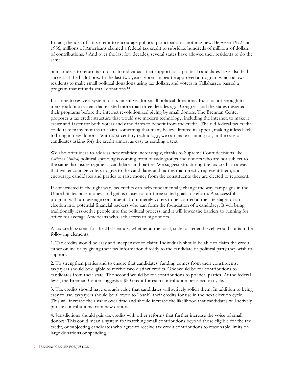In fact, the idea of a tax credit to encourage political participation is nothing new. Between 1972 and 1986, millions of Americans claimed a federal tax credit to subsidize hundreds of millions of dollars of contributions.13 And over the last few decades, several states have allowed their residents to do the same.

Similar ideas to return tax dollars to individuals that support local political candidates have also had success at the ballot box. In the last two years, voters in Seattle approved a program which allows residents to make small political donations using tax dollars, and voters in Tallahassee passed a program that refunds small donations.14

It is time to revive a system of tax incentives for small political donations. But it is not enough to merely adopt a system that existed more than three decades ago. Congress and the states designed their programs before the internet revolutionized giving by small donors. The Brennan Center proposes a tax credit structure that would use modern technology, including the internet, to make it easier and faster for both voters and candidates to benefit from the credit. The old federal tax credit could take many months to claim, something that many believe limited its appeal, making it less likely to bring in new donors. With 21st century technology, we can make claiming (or, in the case of candidates asking for) the credit almost as easy as sending a text.

We also offer ideas to address new realities; increasingly, thanks to Supreme Court decisions like *Citizens United,* political spending is coming from outside groups and donors who are not subject to the same disclosure regime as candidates and parties. We suggest structuring the tax credit in a way that will encourage voters to give to the candidates and parties that directly represent them, and encourage candidates and parties to raise money from the constituents they are elected to represent.

If constructed in the right way, tax credits can help fundamentally change the way campaigns in the United States raise money, and get us closer to our three stated goals of reform. A successful program will turn average constituents from merely voters to be courted at the late stages of an election into potential financial backers who can form the foundation of a candidacy. It will bring traditionally less-active people into the political process, and it will lower the barriers to running for office for average Americans who lack access to big donors.

A tax credit system for the 21st century, whether at the local, state, or federal level, would contain the following elements:

1. Tax credits would be easy and inexpensive to claim: Individuals should be able to claim the credit either online or by giving their tax information directly to the candidate or political party they wish to support.

2. To strengthen parties and to ensure that candidates' funding comes from their constituents, taxpayers should be eligible to receive two distinct credits. One would be for contributions to candidates from their state. The second would be for contributions to political parties. At the federal level, the Brennan Center suggests a \$50 credit for each contribution per election cycle.

3. Tax credits should have enough value that candidates will actively solicit them: In addition to being easy to use, taxpayers should be allowed to "bank" their credits for use in the next election cycle. This will increase their value over time and should increase the likelihood that candidates will actively pursue contributions from new donors.

4. Jurisdictions should pair tax credits with other reforms that further increase the voice of small donors: This could mean a system for matching small contributions beyond those eligible for the tax credit, or subjecting candidates who agree to receive tax credit contributions to reasonable limits on large donations or spending.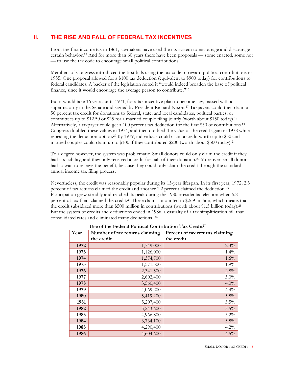#### **II. THE RISE AND FALL OF FEDERAL TAX INCENTIVES**

From the first income tax in 1861, lawmakers have used the tax system to encourage and discourage certain behavior.15 And for more than 60 years there have been proposals — some enacted, some not — to use the tax code to encourage small political contributions.

Members of Congress introduced the first bills using the tax code to reward political contributions in 1955. One proposal allowed for a \$100 tax deduction (equivalent to \$900 today) for contributions to federal candidates. A backer of the legislation noted it "would indeed broaden the base of political finance, since it would encourage the average person to contribute."16

But it would take 16 years, until 1971, for a tax incentive plan to become law, passed with a supermajority in the Senate and signed by President Richard Nixon.<sup>17</sup> Taxpayers could then claim a 50 percent tax credit for donations to federal, state, and local candidates, political parties, or committees up to \$12.50 or \$25 for a married couple filing jointly (worth about \$150 today).18 Alternatively, a taxpayer could get a 100 percent tax deduction for the first \$50 of contributions.19 Congress doubled these values in 1974, and then doubled the value of the credit again in 1978 while repealing the deduction option.20 By 1979, individuals could claim a credit worth up to \$50 and married couples could claim up to \$100 if they contributed \$200 (worth about \$300 today).<sup>21</sup>

To a degree however, the system was problematic. Small donors could only claim the credit if they had tax liability, and they only received a credit for half of their donation.22 Moreover, small donors had to wait to receive the benefit, because they could only claim the credit through the standard annual income tax filing process.

Nevertheless, the credit was reasonably popular during its 15-year lifespan. In its first year, 1972, 2.3 percent of tax returns claimed the credit and another 1.2 percent claimed the deduction.23 Participation grew steadily and reached its peak during the 1980 presidential election when 5.8 percent of tax filers claimed the credit.24 These claims amounted to \$269 million, which means that the credit subsidized more than \$500 million in contributions (worth about \$1.5 billion today).25 But the system of credits and deductions ended in 1986, a casualty of a tax simplification bill that consolidated rates and eliminated many deductions. 26

| Year | Number of tax returns claiming | Percent of tax returns claiming |
|------|--------------------------------|---------------------------------|
|      | the credit                     | the credit                      |
| 1972 | 1,749,000                      | 2.3%                            |
| 1973 | 1,126,000                      | 1.4%                            |
| 1974 | 1,374,700                      | 1.6%                            |
| 1975 | 1,571,300                      | 1.9%                            |
| 1976 | 2,341,500                      | 2.8%                            |
| 1977 | 2,602,400                      | $3.0\%$                         |
| 1978 | 3,560,400                      | 4.0%                            |
| 1979 | 4,069,200                      | 4.4%                            |
| 1980 | 5,419,200                      | 5.8%                            |
| 1981 | 5,207,400                      | 5.5%                            |
| 1982 | 5,243,600                      | 5.5%                            |
| 1983 | 4,966,800                      | 5.2%                            |
| 1984 | 3,764,100                      | 3.8%                            |
| 1985 | 4,290,400                      | 4.2%                            |
| 1986 | 4,604,600                      | $4.5\%$                         |

**Use of the Federal Political Contribution Tax Credit27**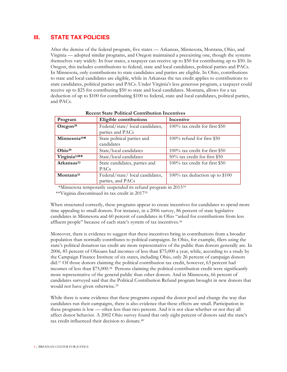#### **III. STATE TAX POLICIES**

After the demise of the federal program, five states — Arkansas, Minnesota, Montana, Ohio, and Virginia — adopted similar programs, and Oregon maintained a preexisting one, though the systems themselves vary widely. In four states, a taxpayer can receive up to \$50 for contributing up to \$50. In Oregon, this includes contributions to federal, state and local candidates, political parties and PACs. In Minnesota, only contributions to state candidates and parties are eligible. In Ohio, contributions to state and local candidates are eligible, while in Arkansas the tax credit applies to contributions to state candidates, political parties and PACs. Under Virginia's less generous program, a taxpayer could receive up to \$25 for contributing \$50 to state and local candidates. Montana, allows for a tax deduction of up to \$100 for contributing \$100 to federal, state and local candidates, political parties, and PACs.

| Program                  | Eligible contributions                               | Incentive                      |
|--------------------------|------------------------------------------------------|--------------------------------|
| Oregon <sup>28</sup>     | Federal/state/local candidates,<br>parties and PACs  | 100% tax credit for first \$50 |
| Minnesota <sup>29*</sup> | State political parties and<br>candidates            | $100\%$ refund for first \$50  |
| Ohio <sup>30</sup>       | State/local candidates                               | 100% tax credit for first \$50 |
| Virginia <sup>31**</sup> | State/local candidates                               | 50% tax credit for first \$50  |
| Arkansas <sup>32</sup>   | State candidates, parties and<br><b>PACs</b>         | 100% tax credit for first \$50 |
| Montana <sup>33</sup>    | Federal/state/local candidates,<br>parties, and PACs | 100% tax deduction up to \$100 |

 **Recent State Political Contribution Incentives**

\*Minnesota temporarily suspended its refund program in 201534

\*\*Virginia discontinued its tax credit in 201735

When structured correctly, these programs appear to create incentives for candidates to spend more time appealing to small donors. For instance, in a 2006 survey, 86 percent of state legislative candidates in Minnesota and 60 percent of candidates in Ohio "asked for contributions from less affluent people" because of each state's system of tax incentives.<sup>36</sup>

Moreover, there is evidence to suggest that these incentives bring in contributions from a broader population than normally contributes to political campaigns. In Ohio, for example, filers using the state's political donation tax credit are more representative of the public than donors generally are. In 2006, 85 percent of Ohioans had incomes of less than \$75,000 a year, while, according to a study by the Campaign Finance Institute of six states, including Ohio, only 26 percent of campaign donors did.37 Of those donors claiming the political contribution tax credit, however, 63 percent had incomes of less than \$75,000.38 Persons claiming the political contribution credit were significantly more representative of the general public than other donors. And in Minnesota, 66 percent of candidates surveyed said that the Political Contribution Refund program brought in new donors that would not have given otherwise.39

While there is some evidence that these programs expand the donor pool and change the way that candidates run their campaigns, there is also evidence that these effects are small. Participation in these programs is low — often less than two percent. And it is not clear whether or not they all affect donor behavior. A 2002 Ohio survey found that only eight percent of donors said the state's tax credit influenced their decision to donate.40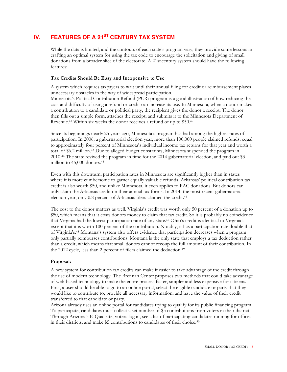# **IV.** FEATURES OF A 21<sup>ST</sup> CENTURY TAX SYSTEM

While the data is limited, and the contours of each state's program vary, they provide some lessons in crafting an optimal system for using the tax code to encourage the solicitation and giving of small donations from a broader slice of the electorate. A 21st century system should have the following features:

#### **Tax Credits Should Be Easy and Inexpensive to Use**

A system which requires taxpayers to wait until their annual filing for credit or reimbursement places unnecessary obstacles in the way of widespread participation. Minnesota's Political Contribution Refund (PCR) program is a good illustration of how reducing the cost and difficulty of using a refund or credit can increase its use. In Minnesota, when a donor makes a contribution to a candidate or political party, the recipient gives the donor a receipt. The donor then fills out a simple form, attaches the receipt, and submits it to the Minnesota Department of Revenue.41 Within six weeks the donor receives a refund of up to \$50.42

Since its beginnings nearly 25 years ago, Minnesota's program has had among the highest rates of participation. In 2006, a gubernatorial election year, more than 100,000 people claimed refunds, equal to approximately four percent of Minnesota's individual income tax returns for that year and worth a total of \$6.2 million.43 Due to alleged budget constraints, Minnesota suspended the program in 2010.44 The state revived the program in time for the 2014 gubernatorial election, and paid out \$3 million to 45,000 donors.45

Even with this downturn, participation rates in Minnesota are significantly higher than in states where it is more cumbersome to garner equally valuable refunds. Arkansas' political contribution tax credit is also worth \$50, and unlike Minnesota, it even applies to PAC donations. But donors can only claim the Arkansas credit on their annual tax forms. In 2014, the most recent gubernatorial election year, only 0.8 percent of Arkansas filers claimed the credit.46

The cost to the donor matters as well. Virginia's credit was worth only 50 percent of a donation up to \$50, which means that it costs donors money to claim that tax credit. So it is probably no coincidence that Virginia had the lowest participation rate of any state.47 Ohio's credit is identical to Virginia's except that it is worth 100 percent of the contribution. Notably, it has a participation rate double that of Virginia's.48 Montana's system also offers evidence that participation decreases when a program only partially reimburses contributions. Montana is the only state that employs a tax deduction rather than a credit, which means that small donors cannot recoup the full amount of their contribution. In the 2012 cycle, less than 2 percent of filers claimed the deduction.49

#### **Proposal:**

A new system for contribution tax credits can make it easier to take advantage of the credit through the use of modern technology. The Brennan Center proposes two methods that could take advantage of web-based technology to make the entire process faster, simpler and less expensive for citizens. First, a user should be able to go to an online portal, select the eligible candidate or party that they would like to contribute to, provide all necessary information, and have the value of their credit transferred to that candidate or party.

Arizona already uses an online portal for candidates trying to qualify for its public financing program. To participate, candidates must collect a set number of \$5 contributions from voters in their district. Through Arizona's E-Qual site, voters log in, see a list of participating candidates running for offices in their districts, and make \$5 contributions to candidates of their choice.50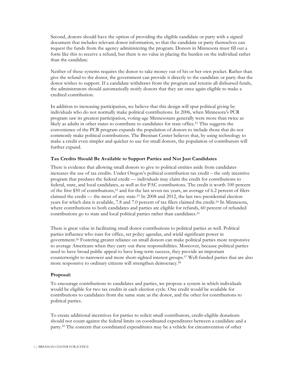Second, donors should have the option of providing the eligible candidate or party with a signed document that includes relevant donor information, so that the candidate or party themselves can request the funds from the agency administering the program. Donors in Minnesota must fill out a form like this to receive a refund, but there is no value in placing the burden on the individual rather than the candidate.

Neither of these systems requires the donor to take money out of his or her own pocket. Rather than give the refund to the donor, the government can provide it directly to the candidate or party that the donor wishes to support. If a candidate withdraws from the program and returns all disbursed funds, the administrators should automatically notify donors that they are once again eligible to make a credited contribution.

In addition to increasing participation, we believe that this design will spur political giving by individuals who do not normally make political contributions. In 2006, when Minnesota's PCR program saw its greatest participation, voting-age Minnesotans generally were more than twice as likely as adults in other states to contribute to candidates for state office.51 This suggests the convenience of the PCR program expands the population of donors to include those that do not commonly make political contributions. The Brennan Center believes that, by using technology to make a credit even simpler and quicker to use for small donors, the population of contributors will further expand.

#### **Tax Credits Should Be Available to Support Parties and Not Just Candidates**

There is evidence that allowing small donors to give to political entities aside from candidates increases the use of tax credits. Under Oregon's political contribution tax credit – the only incentive program that predates the federal credit — individuals may claim the credit for contributions to federal, state, and local candidates, as well as for PAC contributions. The credit is worth 100 percent of the first \$50 of contributions,52 and for the last seven tax years, an average of 6.2 percent of filers claimed the credit — the most of any state.53 In 2008 and 2012, the last two presidential election years for which data is available, 7.8 and 7.0 percent of tax filers claimed the credit.54 In Minnesota, where contributions to both candidates and parties are eligible for refunds, 60 percent of refunded contributions go to state and local political parties rather than candidates.55

There is great value in facilitating small donor contributions to political parties as well. Political parties influence who runs for office, set policy agendas, and wield significant power in government.56 Fostering greater reliance on small donors can make political parties more responsive to average Americans when they carry out these responsibilities. Moreover, because political parties need to have broad public appeal to have long-term success, they provide an important counterweight to narrower and more short-sighted interest groups.57 Well-funded parties that are also more responsive to ordinary citizens will strengthen democracy.58

#### **Proposal:**

To encourage contributions to candidates and parties, we propose a system in which individuals would be eligible for two tax credits in each election cycle. One credit would be available for contributions to candidates from the same state as the donor, and the other for contributions to political parties.

To create additional incentives for parties to solicit small contributors, credit-eligible donations should not count against the federal limits on coordinated expenditures between a candidate and a party.59 The concern that coordinated expenditures may be a vehicle for circumvention of other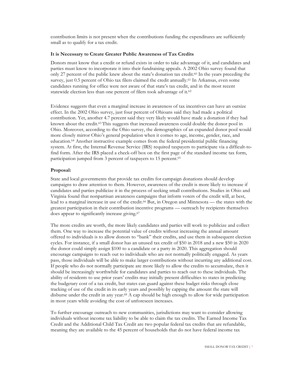contribution limits is not present when the contributions funding the expenditures are sufficiently small as to qualify for a tax credit.

#### **It is Necessary to Create Greater Public Awareness of Tax Credits**

Donors must know that a credit or refund exists in order to take advantage of it, and candidates and parties must know to incorporate it into their fundraising appeals. A 2002 Ohio survey found that only 27 percent of the public knew about the state's donation tax credit.60 In the years preceding the survey, just 0.5 percent of Ohio tax filers claimed the credit annually.<sup>61</sup> In Arkansas, even some candidates running for office were not aware of that state's tax credit, and in the most recent statewide election less than one percent of filers took advantage of it.62

Evidence suggests that even a marginal increase in awareness of tax incentives can have an outsize effect. In the 2002 Ohio survey, just four percent of Ohioans said they had made a political contribution. Yet, another 4.7 percent said they very likely would have made a donation if they had known about the credit.63 This suggests that increased awareness could double the donor pool in Ohio. Moreover, according to the Ohio survey, the demographics of an expanded donor pool would more closely mirror Ohio's general population when it comes to age, income, gender, race, and education.64 Another instructive example comes from the federal presidential public financing system. At first, the Internal Revenue Service (IRS) required taxpayers to participate via a difficult-tofind form. After the IRS placed a check-off box on the first page of the standard income tax form, participation jumped from 3 percent of taxpayers to 15 percent.<sup>65</sup>

#### **Proposal:**

State and local governments that provide tax credits for campaign donations should develop campaigns to draw attention to them. However, awareness of the credit is more likely to increase if candidates and parties publicize it in the process of seeking small contributions. Studies in Ohio and Virginia found that nonpartisan awareness campaigns that inform voters of the credit will, at best, lead to a marginal increase in use of the credit.66 But, in Oregon and Minnesota — the states with the greatest participation in their contribution incentive programs — outreach by recipients themselves does appear to significantly increase giving.<sup>67</sup>

The more credits are worth, the more likely candidates and parties will work to publicize and collect them. One way to increase the potential value of credits without increasing the annual amount offered to individuals is to allow donors to "bank" their credits, and use them in subsequent election cycles. For instance, if a small donor has an unused tax credit of \$50 in 2018 and a new \$50 in 2020 the donor could simply assign \$100 to a candidate or a party in 2020. This aggregation should encourage campaigns to reach out to individuals who are not normally politically engaged. As years pass, those individuals will be able to make larger contributions without incurring any additional cost. If people who do not normally participate are more likely to allow the credits to accumulate, then it should be increasingly worthwhile for candidates and parties to reach out to these individuals. The ability of residents to use prior years' credits may initially present difficulties to states in predicting the budgetary cost of a tax credit, but states can guard against these budget risks through close tracking of use of the credit in its early years and possibly by capping the amount the state will disburse under the credit in any year.<sup>68</sup> A cap should be high enough to allow for wide participation in most years while avoiding the cost of unforeseen increases.

To further encourage outreach to new communities, jurisdictions may want to consider allowing individuals without income tax liability to be able to claim the tax credits. The Earned Income Tax Credit and the Additional Child Tax Credit are two popular federal tax credits that are refundable, meaning they are available to the 45 percent of households that do not have federal income tax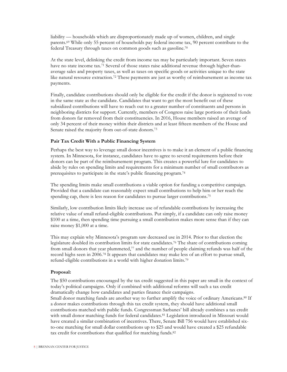liability — households which are disproportionately made up of women, children, and single parents.69 While only 55 percent of households pay federal income tax, 90 percent contribute to the federal Treasury through taxes on common goods such as gasoline.70

At the state level, delinking the credit from income tax may be particularly important. Seven states have no state income tax.71 Several of those states raise additional revenue through higher-thanaverage sales and property taxes, as well as taxes on specific goods or activities unique to the state like natural resource extraction.<sup>72</sup> These payments are just as worthy of reimbursement as income tax payments.

Finally, candidate contributions should only be eligible for the credit if the donor is registered to vote in the same state as the candidate. Candidates that want to get the most benefit out of these subsidized contributions will have to reach out to a greater number of constituents and persons in neighboring districts for support. Currently, members of Congress raise large portions of their funds from donors far removed from their constituencies. In 2016, House members raised an average of only 34 percent of their money within their districts and at least fifteen members of the House and Senate raised the majority from out-of-state donors.<sup>73</sup>

#### **Pair Tax Credit With a Public Financing System**

Perhaps the best way to leverage small donor incentives is to make it an element of a public financing system. In Minnesota, for instance, candidates have to agree to several requirements before their donors can be part of the reimbursement program. This creates a powerful lure for candidates to abide by rules on spending limits and requirements for a minimum number of small contributors as prerequisites to participate in the state's public financing program.74

The spending limits make small contributions a viable option for funding a competitive campaign. Provided that a candidate can reasonably expect small contributions to help him or her reach the spending cap, there is less reason for candidates to pursue larger contributions.<sup>75</sup>

Similarly, low contribution limits likely increase use of refundable contributions by increasing the relative value of small refund-eligible contributions. Put simply, if a candidate can only raise money \$100 at a time, then spending time pursuing a small contribution makes more sense than if they can raise money \$1,000 at a time.

This may explain why Minnesota's program saw decreased use in 2014. Prior to that election the legislature doubled its contribution limits for state candidates.76 The share of contributions coming from small donors that year plummeted, $77$  and the number of people claiming refunds was half of the record highs seen in 2006.78 It appears that candidates may make less of an effort to pursue small, refund-eligible contributions in a world with higher donation limits.79

#### **Proposal:**

The \$50 contributions encouraged by the tax credit suggested in this paper are small in the context of today's political campaigns. Only if combined with additional reforms will such a tax credit dramatically change how candidates and parties finance their campaigns.

Small donor matching funds are another way to further amplify the voice of ordinary Americans.<sup>80</sup> If a donor makes contributions through this tax credit system, they should have additional small contributions matched with public funds. Congressman Sarbanes' bill already combines a tax credit with small donor matching funds for federal candidates.<sup>81</sup> Legislation introduced in Missouri would have created a similar combination of incentives. There, Senate Bill 756 would have established sixto-one matching for small dollar contributions up to \$25 and would have created a \$25 refundable tax credit for contributions that qualified for matching funds.<sup>82</sup>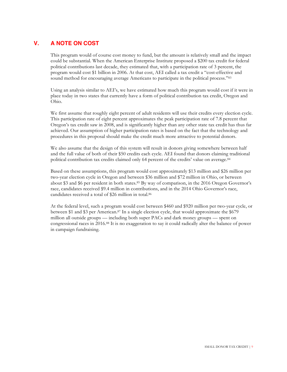#### **V. A NOTE ON COST**

This program would of course cost money to fund, but the amount is relatively small and the impact could be substantial. When the American Enterprise Institute proposed a \$200 tax credit for federal political contributions last decade, they estimated that, with a participation rate of 3 percent, the program would cost \$1 billion in 2006. At that cost, AEI called a tax credit a "cost-effective and sound method for encouraging average Americans to participate in the political process."<sup>83</sup>

Using an analysis similar to AEI's, we have estimated how much this program would cost if it were in place today in two states that currently have a form of political contribution tax credit, Oregon and Ohio.

We first assume that roughly eight percent of adult residents will use their credits every election cycle. This participation rate of eight percent approximates the peak participation rate of 7.8 percent that Oregon's tax credit saw in 2008, and is significantly higher than any other state tax credit has thus far achieved. Our assumption of higher participation rates is based on the fact that the technology and procedures in this proposal should make the credit much more attractive to potential donors.

We also assume that the design of this system will result in donors giving somewhere between half and the full value of both of their \$50 credits each cycle. AEI found that donors claiming traditional political contribution tax credits claimed only 64 percent of the credits' value on average.84

Based on these assumptions, this program would cost approximately \$13 million and \$26 million per two-year election cycle in Oregon and between \$36 million and \$72 million in Ohio, or between about \$3 and \$6 per resident in both states.<sup>85</sup> By way of comparison, in the 2016 Oregon Governor's race, candidates received \$9.4 million in contributions, and in the 2014 Ohio Governor's race, candidates received a total of \$26 million in total. 86

At the federal level, such a program would cost between \$460 and \$920 million per two-year cycle, or between \$1 and \$3 per American.87 In a single election cycle, that would approximate the \$679 million all outside groups — including both super PACs and dark money groups — spent on congressional races in 2016.88 It is no exaggeration to say it could radically alter the balance of power in campaign fundraising.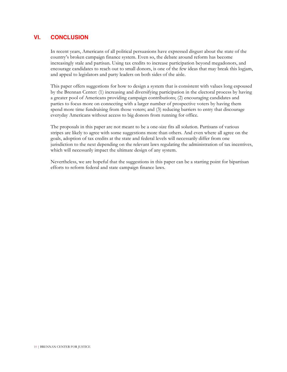#### **VI. CONCLUSION**

In recent years, Americans of all political persuasions have expressed disgust about the state of the country's broken campaign finance system. Even so, the debate around reform has become increasingly stale and partisan. Using tax credits to increase participation beyond megadonors, and encourage candidates to reach out to small donors, is one of the few ideas that may break this logjam, and appeal to legislators and party leaders on both sides of the aisle.

This paper offers suggestions for how to design a system that is consistent with values long espoused by the Brennan Center: (1) increasing and diversifying participation in the electoral process by having a greater pool of Americans providing campaign contributions; (2) encouraging candidates and parties to focus more on connecting with a larger number of prospective voters by having them spend more time fundraising from those voters; and (3) reducing barriers to entry that discourage everyday Americans without access to big donors from running for office.

The proposals in this paper are not meant to be a one-size fits all solution. Partisans of various stripes are likely to agree with some suggestions more than others. And even where all agree on the goals, adoption of tax credits at the state and federal levels will necessarily differ from one jurisdiction to the next depending on the relevant laws regulating the administration of tax incentives, which will necessarily impact the ultimate design of any system.

Nevertheless, we are hopeful that the suggestions in this paper can be a starting point for bipartisan efforts to reform federal and state campaign finance laws.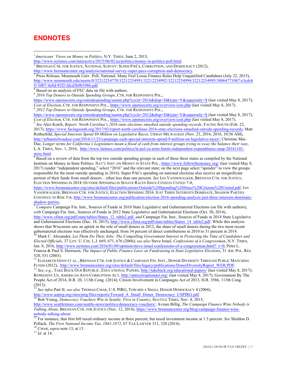## **ENDNOTES**

 

<sup>1</sup> Americans' Views on Money in Politics, N.Y. TIMES, June 2, 2015,

http://www.nytimes.com/interactive/2015/06/02/us/politics/money-in-politics-poll.html.<br><sup>2</sup> BRENNAN CTR. FOR JUSTICE, NATIONAL SURVEY: SUPER PACS, CORRUPTION, AND DEMOCRACY (2012),

<sup>5</sup> *2016 Top Donors to Outside Spending Groups*, CTR. FOR RESPONSIVE POL.,

https://www.opensecrets.org/outsidespending/summ.php?cycle=2016&disp=D&type=V&superonly=S (last visited May 8, 2017); *Cost of Election*, CTR. FOR RESPONSIVE POL., https://www.opensecrets.org/overview/cost.php (last visited May 8, 2017). 6 *2012 Top Donors to Outside Spending Groups*, CTR. FOR RESPONSIVE POL.,

https://www.opensecrets.org/outsidespending/summ.php?cycle=2012&disp=D&type=V&superonly=S (last visited May 8, 2017);<br>Cost of Election, CTR. FOR RESPONSIVE POL., https://www.opensecrets.org/overview/cost.php (last visited

 $^7$  See Alex Kotch, Report: North Carolina's 2016 state elections smashed outside spending records, FACING SOUTH (Feb. 22, 2017), https://www.facingsouth.org/2017/02/report-north-carolinas-2016-state-elections-smashed-outside-spending-records; Matt Rothschild, *Special Interests Spend \$9 Million on Legislative Races*, URBAN MILWAUKEE (Nov. 23, 2016, 2016, 10:56 AM), http://urbanmilwaukee.com/2016/11/23/campaign-cash-special-interests-spend-9-million-on-legislative-races/; Christine Mai-Duc, *Longer terms for California's Legislature mean a flood of cash from interest groups trying to sway the balance their way*, L.A. TIMES, Nov. 1, 2016, http://www.latimes.com/politics/la-pol-ca-term-limits-independent-expenditures-snap-20161101 story.html.<br><sup>8</sup> Based on a review of data from the top two outside spending groups in each of these three states as compiled by the National

Institute on Money in State Politics. NAT'L INST. ON MONEY IN STATE POL., https://www.followthemoney.org/ (last visited May 8, 2017) (under "independent spending," select "2016" and the relevant state; on the next page select "spender" to view the groups responsible for the most outside spending in 2016). Super PACs spending on national elections also receive an insignificant portion of their funds from small donors – often less than one percent. *See* IAN VANDEWALKER, BRENNAN CTR. FOR JUSTICE, ELECTION SPENDING IN 2014: OUTSIDE SPENDING IN SENATE RACES SINCE *CITIZENS UNITED* 7-8,

https://www.brennancenter.org/sites/default/files/publications/Outside%20Spending%20Since%20Citizens%20United.pdf; IAN VANDEWALKER, BRENNAN CTR. FOR JUSTICE, ELECTION SPENDING 2016: JUST THREE INTERESTS DOMINATE, SHADOW PARTIES CONTINUE TO RISE 5-6, http://www.brennancenter.org/publication/election-2016-spending-analysis-just-three-interests-dominate-<br>
<sup>9</sup> Compare Cannaign Fin, Inst. Sources of Europe in 2010 State Localstine and Culture of Links

Compare Campaign Fin. Inst., Sources of Funds in 2010 State Legislative and Gubernatorial Elections (on file with authors), *with* Campaign Fin. Inst., Sources of Funds in 2012 State Legislative and Gubernatorial Elections (Oct. 30, 2014), http://www.cfinst.org/pdf/state/tables/States\_12\_table2.pdf, *and* Campaign Fin. Inst., Sources of Funds in 2014 State Legislative and Gubernatorial Elections (Dec. 18, 2015), http://www.cfinst.org/pdf/state/tables/States 14 table2.pdf. While this analysis

shows that Wisconsin saw an uptick in the role of small donors in 2012, the share of small donors during the two most recent gubernatorial elections was effectively unchanged, from 34 percent of direct contributions in 2010 to 31 percent in 2014.<br><sup>10</sup> Mark C. Alexander, *Let Them Do Their Jobs: The Compelling Government Interest in Protecting th Elected Officials*, 37 LOY. U. CHI. L.J. 669, 671, 676 (2006); *see also* Steve Israel, *Confessions of a Congressman*, N.Y. TIMES, Jan. 8, 2016, http://www.nytimes.com/2016/01/09/opinion/steve-israel-confessions-of-a-congressman.html?\_r=0; Peter L. Francia & Paul S. Herrnson, *The Impact of Public Finance Laws on Fundraising in State Legislative Elections*, 31 AM. POL. RES.

520, 531 (2003).<br><sup>11</sup> ELISABETH GENN ET AL., BRENNAN CTR. FOR JUSTICE & CAMPAIGN FIN. INST., DONOR DIVERSITY THROUGH PUBLIC MATCHING FUNDS (2012), http://www.brennancenter.org/sites/default/files/legacy/publications/DonorDiversityReport WEB.PDF.<br><sup>12</sup> See, e.g., TAKE BACK OUR REPUBLIC, EDUCATIONAL PAPERS, http://takeback.org/educational-papers/ (last vis

REPRESENT.US, AMERICAN ANTI-CORRUPTION ACT, http://anticorruptionact.org/ (last visited May 8, 2017); Government By The People Act of 2014, H.R. 20, 113th Cong. (2014); Citizen Involvement in Campaigns Act of 2013, H.R. 3586, 113th Cong. (2013).

<sup>13</sup> *See infra* Part II; *see also* ThOMAS CMAR, U.S. PIRG, TOWARD A SMALL DONOR DEMOCRACY 4 (2004), http://www.uspirg.org/sites/pirg/files/reports/Toward A Small Donor Democracy USPIRG.pdf.

<sup>14</sup> Bob Young, *Democracy Vouchers Win in Seattle; First in Country*, SEATTLE TIMES, Nov. 4, 2015, http://www.seattletimes.com/seattle-news/politics/democracy-vouchers/; Avram Billig, *The Campaign Finance Wins Nobody is Talking About*, BRENNAN CTR. FOR JUSTICE (Nov. 12, 2014), https://www.brennancenter.org/blog/campaign-finance-winsnobody-talking-about. <sup>15</sup> For instance, that first bill taxed ordinary income at three percent, but taxed investment income at 1.5 percent. *See* Sheldon D.

Pollack, *The First National Income Tax, 1861-1872*, 67 TAX LAWYER 311, 320 (2014).<br><sup>16</sup> CMAR, *supra* note 13, at 13. 17 *Id.* at 14.

http://www.brennancenter.org/analysis/national-survey-super-pacs-corruption-and-democracy.<br><sup>3</sup> Press Release, Monmouth Univ. Poll, National: Many Feel Loose Finance Rules Help Unqualified Candidates (July 22, 2015), http://www.monmouth.edu/assets/0/32212254770/32212254991/32212254992/32212254994/32212254995/30064771087/e3cdcb<br>f1-0f07-4e8d-92f2-fdcd3b9b3986.pdf.

Based on an analysis of FEC data on file with authors.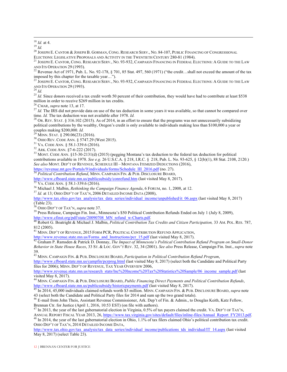<sup>18</sup> *Id.* at 4.<br><sup>19</sup> *Id.*<br><sup>20</sup> JOSEPH E. CANTOR & JOSEPH B. GORMAN, CONG. RESEARCH SERV., NO. 84-107, PUBLIC FINANCING OF CONGRESSIONAL ELECTIONS: LEGISLATIVE PROPOSALS AND ACTIVITY IN THE TWENTIETH CENTURY 280-81 (1984).<br><sup>21</sup> JOSEPH E. CANTOR, CONG. RESEARCH SERV., NO. 93-932, CAMPAIGN FINANCING IN FEDERAL ELECTIONS: A GUIDE TO THE LAW

AND ITS OPERATION 29 (1993).<br><sup>22</sup> Revenue Act of 1971, Pub. L. No. 92-178, § 701, 85 Stat. 497, 560 (1971) ("the credit...shall not exceed the amount of the tax

 

imposed by this chapter for the taxable year…").

 $^{23}$  Joseph E. Cantor, Cong. Research Serv., No. 93-932, Campaign Financing in Federal Elections: A Guide to the Law

AND ITS OPERATION 29 (1993).<br><sup>24</sup> *Id.*<br><sup>25</sup> *Id.* Since donors received a tax credit worth 50 percent of their contribution, they would have had to contribute at least \$538 million in order to receive \$269 million in tax

<sup>26</sup> CMAR, *supra* note 13, at 17.<br><sup>27</sup> *Id*. The IRS did not provide data on use of the tax deduction in some years it was available, so that cannot be compared over time. *Id*. The tax deduction was not available after

<sup>28</sup> OR. REV. STAT. § 316.102 (2015). As of 2014, in an effort to ensure that the programs was not unnecessarily subsidizing political contributions by the wealthy, Oregon's credit is only available to individuals making less than \$100,000 a year or couples making \$200,000. *Id.*<br><sup>29</sup> MINN. STAT. § 290.06(23) (2016).<br><sup>30</sup> OHIO REV. CODE ANN. § 5747.29 (West 2015).<br><sup>31</sup> VA. CODE ANN. § 58.1-339.6 (2016).<br><sup>32</sup> ARK. CODE ANN. §7-6-222 (2017).<br><sup>33</sup> MONT. CODE ANN. §15-30-

contributions available in 1978. *See e.g.* 26 U.S.C.A. § 218, I.R.C. § 218, Pub. L. No. 93-625, § 12(b)(1), 88 Stat. 2108, 2120.) *See also* MONT. DEP'T OF REVENUE, SCHEDULE III – MONTANA ITEMIZED DEDUCTIONS (2016),

https://revenue.mt.gov/Portals/9/individuals/forms/Schedule\_III\_2016.pdf (no. 27).<br><sup>34</sup> *Political Contribution Refund*, MINN. CAMPAIGN FIN. & PUB. DISCLOSURE BOARD,<br>http://www.cfboard.state.mn.us/publicsubsidy/conrefund.h

 $\frac{35 \text{ V}}{100 \text{ V}}$  VA. CODE ANN. § 58.1-339.6 (2016).<br><sup>36</sup> Michael J. Malbin, *Rethinking the Campaign Finance Agenda*, 6 FORUM, no. 1, 2008, at 12.<br><sup>37</sup> *Id.* at 13; OHIO DEP'T OF TAX'N, 2006 DETAILED INCOME DATA (200

http://www.tax.ohio.gov/tax\_analysis/tax\_data\_series/individual\_income/unpublished/it\_06.aspx (last visited May 8, 2017) (Table 23).<br><sup>38</sup> OHIO DEP'T OF TAX'N, *supra* note 37.

<sup>39</sup> Press Release, Campaign Fin. Inst., Minnesota's \$50 Political Contribution Refunds Ended on July 1 (July 8, 2009),<br>http://www.cfinst.org/pdf/state/20090708\_MN\_refund\_w-Charts.pdf.<br><sup>40</sup> Polart C. Dastrial is a Minimum

http://www.cfinst.org/pdf/state/20090708\_MN\_refund\_w-Charts.pdf. <sup>40</sup> Robert G. Boatright & Michael J. Malbin, *Political Contribution Tax Credits and Citizen Participation,* 33 AM. POL. RES. 787, 812 (2005).

<sup>41</sup> MINN. DEP'T OF REVENUE, 2015 FORM PCR, POLITICAL CONTRIBUTION REFUND APPLICATION,

http://www.revenue.state.mn.us/Forms\_and\_Instructions/pcr\_15.pdf (last visited May 8, 2017). <sup>42</sup> Graham P. Ramsden & Patrick D. Donnay, *The Impact of Minnesota's Political Contribution Refund Program on Small-Donor Behavior in State House Races*, 33 ST. & LOC. GOV'T REV. 32, 34 (2001). *See also* Press Release, Campaign Fin. Inst., *supra* note

39. 43 MINN. CAMPAIGN FIN. & PUB. DISCLOSURE BOARD, *Participation in Political Contribution Refund Program*,

http://www.cfboard.state.mn.us/campfin/pcrprog.html (last visited May 8, 2017) (select both the Candidate and Political Party files for 2006); MINN. DEP'T OF REVENUE, TAX YEAR OVERVIEW 2006,

http://www.revenue.state.mn.us/research\_stats/Inc%20Income%20Tax%20Statistics%20Sample/06\_income\_sample.pdf (last visited May 8, 2017).

<sup>44</sup> MINN. CAMPAIGN FIN. & PUB. DISCLOSURE BOARD, *Public Financing Direct Payments and Political Contribution Refunds*, http://www.cfboard.state.mn.us/publicsubsidy/historicpayments.pdf (last visited May 8, 2017). 45 In 2014, 45,000 individuals claimed refunds worth \$3 million. MINN. CAMPAIGN FIN. & PUB. DISCLOSURE BOARD, *supra* note

43 (select both the Candidate and Political Party files for 2014 and sum up the two grand totals).<br><sup>46</sup> E-mail from John Theis, Assistant Revenue Commissioner, Ark. Dep't of Fin. & Admin., to Douglas Keith, Katz Fellow,

Brennan Ctr. for Justice (April 1, 2016, 10:53 EST) (on file with authors).

<sup>47</sup> In 2013, the year of the last gubernatorial election in Virginia, 0.5% of tax payers claimed the credit. VA. DEP'T OF TAX'N, ANNUAL REPORT FISCAL YEAR 2013, 26, https://www.tax.virginia.gov/sites/default/files/inline-files/Annual\_Report\_FY2013.pdf.<br><sup>48</sup> In 2014, the year of the last gubernatorial election in Ohio, 1.1% of tax filers claimed Ohio

OHIO DEP'T OF TAX'N, 2014 DETAILED INCOME DATA,

http://www.tax.ohio.gov/tax\_analysis/tax\_data\_series/individual\_income/publications\_tds\_individual/IT\_14.aspx (last visited May 8, 2017) (select Table 23).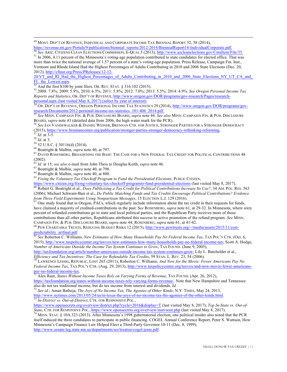$^{49}$  Mont. Dep't of Revenue, Individual and Corporate Income Tax Biennial Report 52, 58 (2014),

https://revenue.mt.gov/Portals/9/publications/biennial\_reports/2012-2014/BiennialReport14-IndividualCorporate.pdf.<br>
<sup>50</sup> See ARIZ. CITIZENS CLEAN ELECTIONS COMMISSION, E-QUAL 3 (2013), http://www.azcleanelections.gov/CmsI more than twice the national average of 1.57 percent of a state's voting-age population. Press Release, Campaign Fin. Inst., Vermont and Rhode Island Had the Highest Percentages of Adults Contributing in 2010 and 2006 State Elections (Dec. 20,

 

2012), http://cfinst.org/Press/PReleases/12-12-

20/VT\_and\_RI\_Had\_the\_Highest\_Percentages\_of\_Adults\_Contributing\_in\_2010\_and\_2006\_State\_Elections\_NY\_UT\_CA\_and FL\_the\_Lowest.aspx. 52<br>
52 And the first \$100 by joint filers. OR. REV. STAT. § 316.102 (2015).<br>
53 2008: 7.8%; 2009: 5.9%, 2010: 6.3%; 2011: 5.8%; 2012: 7.0%; 2013: 5.5%; 2014: 4.9%. *See Oregon Personal Income Tax* 

*Reports and Statistics*, OR. DEP'T OF REVENUE, <u>http://www.oregon.gov/DOR/programs/gov-research/Pages/research-<br>personal.aspx (last visited May 8, 2017) (select by year of interest).<br><sup>54</sup> OP. DEP'T OF PEVENUE, OPDOSAL PRE</u>

DR. DEP'T OF REVENUE, OREGON PERSONAL INCOME TAX STATISTICS 29 (2014), http://www.oregon.gov/DOR/programs/gov-

research/Documents/2012-personal-income-tax-statistics\_101-406\_2014.pdf. 55 *See* MINN. CAMPAIGN FIN. & PUB. DISCLOSURE BOARD, *supra* note 44. *See also* MINN. CAMPAIGN FIN. & PUB. DISCLOSURE

BOARD, *supra* note 43 (detailed data from 2006, the high water mark for the PCR). 56 *See* IAN VANDEWALKER & DANIEL WEINER, BRENNAN CTR. FOR JUSTICE, STRONGER PARTIES FOR A STRONGER DEMOCRACY (2015), https://www.brennancenter.org/publication/stronger-parties-stronger-democracy-rethinking-reforming.<br>
<sup>57</sup> *Id.* at 3-5.<br>
<sup>58</sup> *Id.* at 3.<br>
<sup>59</sup> 52 U.S.C. § 30116(d) (2014).<br>
<sup>60</sup> Boatright & Malbin, *supra* note 4

(2002).<br> $^{62}$  *Id.* at 15; see also e-mail from John Theis to Douglas Keith, *supra* note 46.

<sup>63</sup> Boatright & Malbin, *supra* note 40, at 798.<br><sup>64</sup> Boatright & Malbin, *supra* note 40, at 800.<br><sup>65</sup> Fixing the Voluntary Tax Checkoff Program to Fund the Presidential Elections, PUBLIC CITIZEN,<br>https://www.citizen.org

66 Robert G. Boatright et al., *Does Publicizing a Tax Credit for Political Contributions Increase Its Use?*, 34 AM. POL. RES. 563 (2006); Michael Schwam-Bair et al., *Do Public Matching Funds and Tax Credits Encourage Political Contributions? Evidence from Three Field Experiments Using Nonpartisan Messages*, 15 ELECTION L.J. 129 (2016).<br><sup>67</sup> One study found that in Oregon, PACs, which regularly include information about the tax credit in their requests for funds,

have claimed a majority of credited-contributions in the past. *See* ROSENBERG, *supra* note 61, at 29-32. In Minnesota, where sixty percent of refunded contributions go to state and local political parties, and the Republican Party receives more of those contributions than all other parties, Republicans attributed this success to active promotion of the refund program. *See* MINN.

<sup>68</sup> PEW CHARITABLE TRUSTS, REDUCING BUDGET RISKS 12 (2015), http://www.pewtrusts.org/~/media/assets/2015/11/cost-

predictability\_artfinal.pdf. 69 *See Roberton C. Williams, New Estimates of How Many Households Pay No Federal Income Tax, TAX POL'Y CTR. (Oct. 6,* 2015), http://www.taxpolicycenter.org/taxvox/new-estimates-how-many-households-pay-no-federal-income-tax; Scott A. Hodge, *Number of Americans Outside the Income Tax System Continues to Grow*, TAX FOUND. (June 9, 2005),

http://taxfoundation.org/article/number-americans-outside-income-tax-system-continues-grow; Lily L. Batchelder et al., *Efficiency and Tax Incentives: The Case for Refundable Tax Credits*, 59 STAN. L. REV. 23, 54 (2006).<br><sup>70</sup> LAWRENCE LESSIG, REPUBLIC, LOST 265 (2011); Roberton C. Williams, *And Now for the Movie: Fewer Americans Pay No* 

*Federal Income Tax*, TAX POL'Y CTR. (Aug. 29, 2013), <u>http://www.taxpolicycenter.org/taxvox/and-now-movie-fewer-americans-<br>pay-no-federal-income-tax.</u>

Alex Raut, *States Without Income Taxes Rely on Varying Forms of Revenue*, TAX FOUND. (Apr. 26, 2012), https://taxfoundation.org/states-without-income-taxes-rely-varying-forms-revenue/. Note that New Hampshire and Tennessee

also do not tax traditional income, but do tax income from interest and dividends. *Id.* <sup>72</sup> *See id.*; Aman Batheja, *The Joys of No Income Tax, The Agonies of Other Kinds*, N.Y. TIMES, May 24, 2013, http://www.nytimes.com/2013/05/24/us/in-texas-the-joys-of-no-income-tax-the-agonies-of-the-other-kinds.html. <sup>73</sup> *In-District vs. Out-of-District*, CTR. FOR RESPONSIVE POL.,

https://www.opensecrets.org/overview/district.php?cycle=2016&display=T (last visited May 8, 2017); *Top In-State vs. Out-of-*State, CTR. FOR RESPONSIVE POL., https://www.opensecrets.org/overview/instvsout.php (last visited May 8, 2017), 10p In State 15: 0 at 0.6<br><sup>74</sup> MINN. STAT. § 10A.323 (2013). After Minnesota's 1998 gubernatorial election, on

itself induced the three candidates to participate in public financing. COGEL Annual Conference Report, Peter S. Wattson, How Minnesota's Campaign Finance Law Helped Elect a Third-Party Governor 10-11 (Dec. 8, 1999), http://www.senate.leg.state.mn.us/departments/scr/treatise/cogel-jesse.pdf.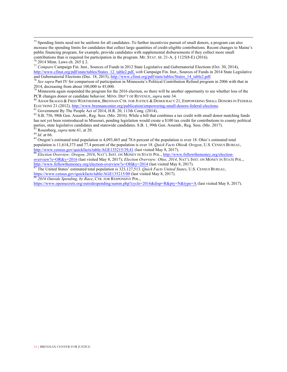$<sup>75</sup>$  Spending limits need not be uniform for all candidates. To further incentivize pursuit of small donors, a program can also</sup> increase the spending limits for candidates that collect large quantities of credit-eligible contributions. Recent changes to Maine's public financing program, for example, provide candidates with supplemental disbursements if they collect more small contributions than is required for participation in the program. ME. STAT. tit. 21-A, § 1125(8-E) (2016).  $\frac{76}{7}$  2014 Minn. Laws ch. 265 § 2.<br>
<sup>77</sup> Compare Campaign Fin. Inst., Sources of Funds in 2012 State Legislative and Gubernatorial Elections (Oct. 30, 2014),

 

http://www.cfinst.org/pdf/state/tables/States\_12\_table2.pdf, *with* Campaign Fin. Inst., Sources of Funds in 2014 State Legislative and Gubernatorial Elections (Dec. 18, 2015), http://www.cfinst.org/pdf/state/tables/States

<sup>78</sup> See supra Part IV for comparison of participation in Minnesota's Political Contribution Refund program in 2006 with that in 2014, decreasing from about 100,000 to 45,000.

<sup>79</sup> Minnesota again suspended the program for the 2016 election, so there will be another opportunity to see whether loss of the PCR changes donor or candidate behavior. MINN, DEP'T OF REVENUE, *supra* note 34.

<sup>80</sup> ADAM SKAGGS & FRED WERTHEIMER, BRENNAN CTR. FOR JUSTICE & DEMOCRACY 21, EMPOWERING SMALL DONORS IN FEDERAL ELECTIONS 21 (2012), http://www.brennancenter.org/publication/empowering-small-donors-federal-elections.<br><sup>81</sup> Government By The People Act of 2014, H.R. 20, 113th Cong. (2014).<br><sup>82</sup> S.B. 756, 98th Gen. Assemb., Reg. Sess.

has not yet been reintroduced in Missouri, pending legislation would create a \$100 tax credit for contributions to county political parties, state legislative candidates and statewide candidates. S.B. 1, 99th Gen. Assemb., Reg. Sess. (Mo. 2017).<br><sup>83</sup> Rosenberg, *supra* note 61, at 20.<br><sup>84</sup> *Id.* at 66.<br><sup>85</sup> Oregon's estimated total population is 4,093,

population is 11,614,373 and 77.4 percent of the population is over 18. *Quick Facts Ohio& Oregon*, U.S. CENSUS BUREAU, http://www.census.gov/quickfacts/table/AGE135215/39,41 (last visited May 8, 2017). http://www.census.gov/quickfacts/table/AGE135215/39,41 (last visited May 8, 2017).<br><sup>86</sup> *Election Overview: Oregon, 2016*, NAT'L INST. ON MONEY IN STATE POL., http://www.followthemoney.org/election-

overview?s=OR&y=2016 (last visited May 8, 2017); *Election Overview: Ohio, 2014*, NAT'L INST. ON MONEY IN STATE POL., http://www.followthemoney.org/election-overview?s=OH&y=2014 (last visited May 8, 2017). <sup>87</sup> The United States' estimated total population is 323,127,513. *Quick Facts United States*, U.S. CENSUS BUREAU,

https://www.census.gov/quickfacts/table/AGE135215/00 (last visited May 8, 2017). 88 *2016 Outside Spending, by Race*, CTR. FOR RESPONSIVE POL.,

https://www.opensecrets.org/outsidespending/summ.php?cycle=2016&disp=R&pty=N&type=A (last visited May 8, 2017).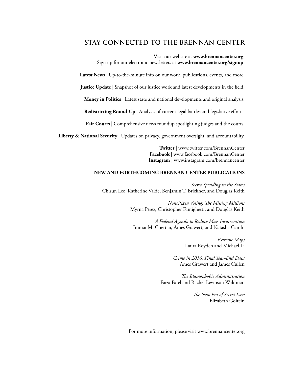### **STAY CONNECTED TO THE BRENNAN CENTER**

Visit our website at **[www.brennancenter.org](http://www.brennancenter.org)**. Sign up for our electronic newsletters at **[www.brennancenter.org/signup](http://www.brennancenter.org/signup)**.

**Latest News** | Up-to-the-minute info on our work, publications, events, and more.

**Justice Update** | Snapshot of our justice work and latest developments in the field.

**Money in Politics** | Latest state and national developments and original analysis.

**Redistricting Round-Up** | Analysis of current legal battles and legislative efforts.

Fair Courts | Comprehensive news roundup spotlighting judges and the courts.

**Liberty & National Security** | Updates on privacy, government oversight, and accountability.

**Twitter** | www.twitter.com/BrennanCenter **Facebook** | www.facebook.com/BrennanCenter **Instagram** | www.instagram.com/brennancenter

#### **NEW AND FORTHCOMING BRENNAN CENTER PUBLICATIONS**

*Secret Spending in the States* Chisun Lee, Katherine Valde, Benjamin T. Brickner, and Douglas Keith

> *Noncitizen Voting: The Missing Millions* Myrna Pérez, Christopher Famighetti, and Douglas Keith

*A Federal Agenda to Reduce Mass Incarceration* Inimai M. Chettiar, Ames Grawert, and Natasha Camhi

> *Extreme Maps* Laura Royden and Michael Li

*Crime in 2016: Final Year-End Data* Ames Grawert and James Cullen

*The Islamophobic Administration* Faiza Patel and Rachel Levinson-Waldman

> *The New Era of Secret Law* Elizabeth Goitein

For more information, please visit www.brennancenter.org